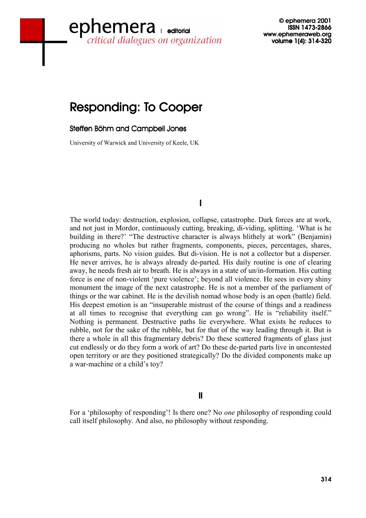# www.ephemeraweb.org<br>critical dialogues on organization volume 1(4): 314-320 ephemera

© ephemera 2001 © 2001 2001 ISSN 1473-2866 volume 1(4): 314-320

# **Responding: To Cooper**

#### Steffen Böhm and Campbell Jones

University of Warwick and University of Keele, UK

# I

The world today: destruction, explosion, collapse, catastrophe. Dark forces are at work, and not just in Mordor, continuously cutting, breaking, di-viding, splitting. 'What is he building in there?' "The destructive character is always blithely at work" (Benjamin) producing no wholes but rather fragments, components, pieces, percentages, shares, aphorisms, parts. No vision guides. But di-vision. He is not a collector but a disperser. He never arrives, he is always already de-parted. His daily routine is one of clearing away, he needs fresh air to breath. He is always in a state of un/in-formation. His cutting force is one of non-violent 'pure violence'; beyond all violence. He sees in every shiny monument the image of the next catastrophe. He is not a member of the parliament of things or the war cabinet. He is the devilish nomad whose body is an open (battle) field. His deepest emotion is an "insuperable mistrust of the course of things and a readiness at all times to recognise that everything can go wrong". He is "reliability itself." Nothing is permanent. Destructive paths lie everywhere. What exists he reduces to rubble, not for the sake of the rubble, but for that of the way leading through it. But is there a whole in all this fragmentary debris? Do these scattered fragments of glass just cut endlessly or do they form a work of art? Do these de-parted parts live in uncontested open territory or are they positioned strategically? Do the divided components make up a war-machine or a child's toy?

## II

For a 'philosophy of responding'! Is there one? No *one* philosophy of responding could call itself philosophy. And also, no philosophy without responding.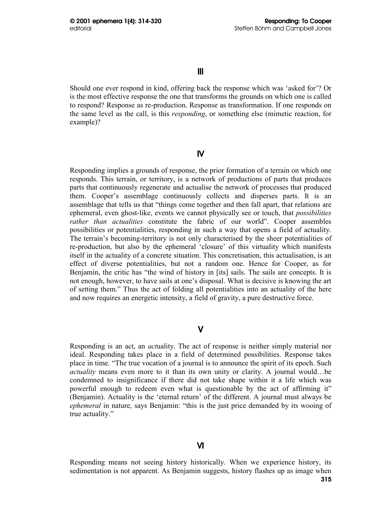Should one ever respond in kind, offering back the response which was 'asked for'? Or is the most effective response the one that transforms the grounds on which one is called to respond? Response as re-production. Response as transformation. If one responds on the same level as the call, is this *responding*, or something else (mimetic reaction, for example)?

# IV

Responding implies a grounds of response, the prior formation of a terrain on which one responds. This terrain, or territory, is a network of productions of parts that produces parts that continuously regenerate and actualise the network of processes that produced them. Cooper's assemblage continuously collects and disperses parts. It is an assemblage that tells us that "things come together and then fall apart, that relations are ephemeral, even ghost-like, events we cannot physically see or touch, that *possibilities rather than actualities* constitute the fabric of our world". Cooper assembles possibilities or potentialities, responding in such a way that opens a field of actuality. The terrain's becoming-territory is not only characterised by the sheer potentialities of re-production, but also by the ephemeral 'closure' of this virtuality which manifests itself in the actuality of a concrete situation. This concretisation, this actualisation, is an effect of diverse potentialities, but not a random one. Hence for Cooper, as for Benjamin, the critic has "the wind of history in [its] sails. The sails are concepts. It is not enough, however, to have sails at one's disposal. What is decisive is knowing the art of setting them." Thus the act of folding all potentialities into an actuality of the here and now requires an energetic intensity, a field of gravity, a pure destructive force.

# V

Responding is an act, an *act*uality. The act of response is neither simply material nor ideal. Responding takes place in a field of determined possibilities. Response takes place in time. "The true vocation of a journal is to announce the spirit of its epoch. Such *actuality* means even more to it than its own unity or clarity. A journal would…be condemned to insignificance if there did not take shape within it a life which was powerful enough to redeem even what is questionable by the act of affirming it" (Benjamin). Actuality is the 'eternal return' of the different. A journal must always be *ephemeral* in nature, says Benjamin: "this is the just price demanded by its wooing of true actuality."

# VI

Responding means not seeing history historically. When we experience history, its sedimentation is not apparent. As Benjamin suggests, history flashes up as image when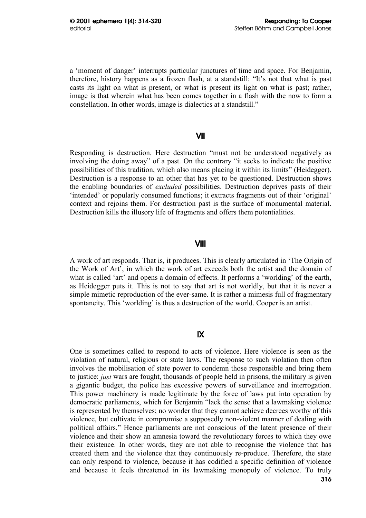a 'moment of danger' interrupts particular junctures of time and space. For Benjamin, therefore, history happens as a frozen flash, at a standstill: "It's not that what is past casts its light on what is present, or what is present its light on what is past; rather, image is that wherein what has been comes together in a flash with the now to form a constellation. In other words, image is dialectics at a standstill."

#### VII

Responding is destruction. Here destruction "must not be understood negatively as involving the doing away" of a past. On the contrary "it seeks to indicate the positive possibilities of this tradition, which also means placing it within its limits" (Heidegger). Destruction is a response to an other that has yet to be questioned. Destruction shows the enabling boundaries of *excluded* possibilities. Destruction deprives pasts of their 'intended' or popularly consumed functions; it extracts fragments out of their 'original' context and rejoins them. For destruction past is the surface of monumental material. Destruction kills the illusory life of fragments and offers them potentialities.

#### VIII

A work of art responds. That is, it produces. This is clearly articulated in 'The Origin of the Work of Art', in which the work of art exceeds both the artist and the domain of what is called 'art' and opens a domain of effects. It performs a 'worlding' of the earth, as Heidegger puts it. This is not to say that art is not worldly, but that it is never a simple mimetic reproduction of the ever-same. It is rather a mimesis full of fragmentary spontaneity. This 'worlding' is thus a destruction of the world. Cooper is an artist.

# IX

One is sometimes called to respond to acts of violence. Here violence is seen as the violation of natural, religious or state laws. The response to such violation then often involves the mobilisation of state power to condemn those responsible and bring them to justice: *just* wars are fought, thousands of people held in prisons, the military is given a gigantic budget, the police has excessive powers of surveillance and interrogation. This power machinery is made legitimate by the force of laws put into operation by democratic parliaments, which for Benjamin "lack the sense that a lawmaking violence is represented by themselves; no wonder that they cannot achieve decrees worthy of this violence, but cultivate in compromise a supposedly non-violent manner of dealing with political affairs." Hence parliaments are not conscious of the latent presence of their violence and their show an amnesia toward the revolutionary forces to which they owe their existence. In other words, they are not able to recognise the violence that has created them and the violence that they continuously re-produce. Therefore, the state can only respond to violence, because it has codified a specific definition of violence and because it feels threatened in its lawmaking monopoly of violence. To truly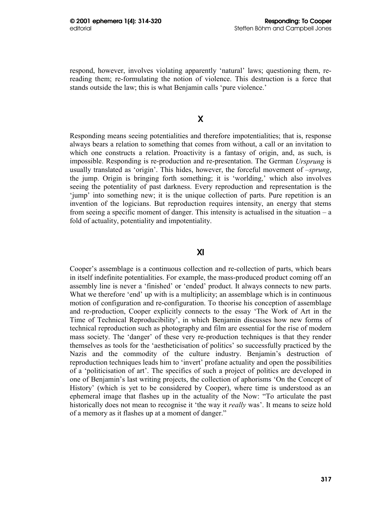respond, however, involves violating apparently 'natural' laws; questioning them, rereading them; re-formulating the notion of violence. This destruction is a force that stands outside the law; this is what Benjamin calls 'pure violence.'

## X

Responding means seeing potentialities and therefore impotentialities; that is, response always bears a relation to something that comes from without, a call or an invitation to which one constructs a relation. Proactivity is a fantasy of origin, and, as such, is impossible. Responding is re-production and re-presentation. The German *Ursprung* is usually translated as 'origin'. This hides, however, the forceful movement of –*sprung*, the jump. Origin is bringing forth something; it is 'worlding,' which also involves seeing the potentiality of past darkness. Every reproduction and representation is the 'jump' into something new; it is the unique collection of parts. Pure repetition is an invention of the logicians. But reproduction requires intensity, an energy that stems from seeing a specific moment of danger. This intensity is actualised in the situation  $-a$ fold of actuality, potentiality and impotentiality.

# XI

Cooper's assemblage is a continuous collection and re-collection of parts, which bears in itself indefinite potentialities. For example, the mass-produced product coming off an assembly line is never a 'finished' or 'ended' product. It always connects to new parts. What we therefore 'end' up with is a multiplicity; an assemblage which is in continuous motion of configuration and re-configuration. To theorise his conception of assemblage and re-production, Cooper explicitly connects to the essay 'The Work of Art in the Time of Technical Reproducibility', in which Benjamin discusses how new forms of technical reproduction such as photography and film are essential for the rise of modern mass society. The 'danger' of these very re-production techniques is that they render themselves as tools for the 'aestheticisation of politics' so successfully practiced by the Nazis and the commodity of the culture industry. Benjamin's destruction of reproduction techniques leads him to 'invert' profane actuality and open the possibilities of a 'politicisation of art'. The specifics of such a project of politics are developed in one of Benjamin's last writing projects, the collection of aphorisms 'On the Concept of History' (which is yet to be considered by Cooper), where time is understood as an ephemeral image that flashes up in the actuality of the Now: "To articulate the past historically does not mean to recognise it 'the way it *really* was'. It means to seize hold of a memory as it flashes up at a moment of danger."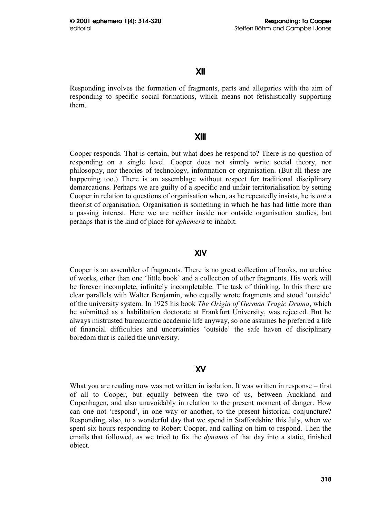#### XII

Responding involves the formation of fragments, parts and allegories with the aim of responding to specific social formations, which means not fetishistically supporting them.

#### XIII

Cooper responds. That is certain, but what does he respond to? There is no question of responding on a single level. Cooper does not simply write social theory, nor philosophy, nor theories of technology, information or organisation. (But all these are happening too.) There is an assemblage without respect for traditional disciplinary demarcations. Perhaps we are guilty of a specific and unfair territorialisation by setting Cooper in relation to questions of organisation when, as he repeatedly insists, he is *not* a theorist of organisation. Organisation is something in which he has had little more than a passing interest. Here we are neither inside nor outside organisation studies, but perhaps that is the kind of place for *ephemera* to inhabit.

#### XIV

Cooper is an assembler of fragments. There is no great collection of books, no archive of works, other than one 'little book' and a collection of other fragments. His work will be forever incomplete, infinitely incompletable. The task of thinking. In this there are clear parallels with Walter Benjamin, who equally wrote fragments and stood 'outside' of the university system. In 1925 his book *The Origin of German Tragic Drama*, which he submitted as a habilitation doctorate at Frankfurt University, was rejected. But he always mistrusted bureaucratic academic life anyway, so one assumes he preferred a life of financial difficulties and uncertainties 'outside' the safe haven of disciplinary boredom that is called the university.

## XV

What you are reading now was not written in isolation. It was written in response – first of all to Cooper, but equally between the two of us, between Auckland and Copenhagen, and also unavoidably in relation to the present moment of danger. How can one not 'respond', in one way or another, to the present historical conjuncture? Responding, also, to a wonderful day that we spend in Staffordshire this July, when we spent six hours responding to Robert Cooper, and calling on him to respond. Then the emails that followed, as we tried to fix the *dynamis* of that day into a static, finished object.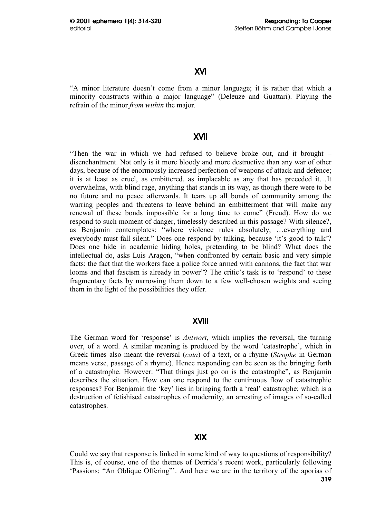## XVI

"A minor literature doesn't come from a minor language; it is rather that which a minority constructs within a major language" (Deleuze and Guattari). Playing the refrain of the minor *from within* the major.

## XVII

"Then the war in which we had refused to believe broke out, and it brought – disenchantment. Not only is it more bloody and more destructive than any war of other days, because of the enormously increased perfection of weapons of attack and defence; it is at least as cruel, as embittered, as implacable as any that has preceded it…It overwhelms, with blind rage, anything that stands in its way, as though there were to be no future and no peace afterwards. It tears up all bonds of community among the warring peoples and threatens to leave behind an embitterment that will make any renewal of these bonds impossible for a long time to come" (Freud). How do we respond to such moment of danger, timelessly described in this passage? With silence?, as Benjamin contemplates: "where violence rules absolutely, …everything and everybody must fall silent." Does one respond by talking, because 'it's good to talk'? Does one hide in academic hiding holes, pretending to be blind? What does the intellectual do, asks Luis Aragon, "when confronted by certain basic and very simple facts: the fact that the workers face a police force armed with cannons, the fact that war looms and that fascism is already in power"? The critic's task is to 'respond' to these fragmentary facts by narrowing them down to a few well-chosen weights and seeing them in the light of the possibilities they offer.

## XVIII

The German word for 'response' is *Antwort*, which implies the reversal, the turning over, of a word. A similar meaning is produced by the word 'catastrophe', which in Greek times also meant the reversal (*cata*) of a text, or a rhyme (*Strophe* in German means verse, passage of a rhyme). Hence responding can be seen as the bringing forth of a catastrophe. However: "That things just go on is the catastrophe", as Benjamin describes the situation. How can one respond to the continuous flow of catastrophic responses? For Benjamin the 'key' lies in bringing forth a 'real' catastrophe; which is a destruction of fetishised catastrophes of modernity, an arresting of images of so-called catastrophes.

## XIX

Could we say that response is linked in some kind of way to questions of responsibility? This is, of course, one of the themes of Derrida's recent work, particularly following 'Passions: "An Oblique Offering"'. And here we are in the territory of the aporias of